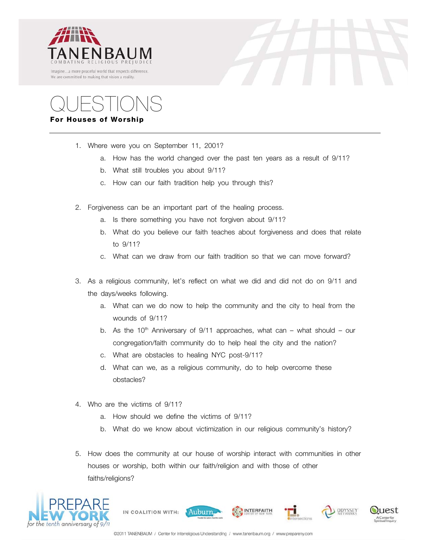





## **For Houses of Worship**

- 1. Where were you on September 11, 2001?
	- a. How has the world changed over the past ten years as a result of 9/11?
	- b. What still troubles you about 9/11?
	- c. How can our faith tradition help you through this?
- 2. Forgiveness can be an important part of the healing process.
	- a. Is there something you have not forgiven about 9/11?
	- b. What do you believe our faith teaches about forgiveness and does that relate to 9/11?
	- c. What can we draw from our faith tradition so that we can move forward?
- 3. As a religious community, let's reflect on what we did and did not do on 9/11 and the days/weeks following.
	- a. What can we do now to help the community and the city to heal from the wounds of 9/11?
	- b. As the 10<sup>th</sup> Anniversary of 9/11 approaches, what can what should our congregation/faith community do to help heal the city and the nation?
	- c. What are obstacles to healing NYC post-9/11?
	- d. What can we, as a religious community, do to help overcome these obstacles?
- 4. Who are the victims of 9/11?
	- a. How should we define the victims of 9/11?
	- b. What do we know about victimization in our religious community's history?
- 5. How does the community at our house of worship interact with communities in other houses or worship, both within our faith/religion and with those of other faiths/religions?



IN COALITION WITH:

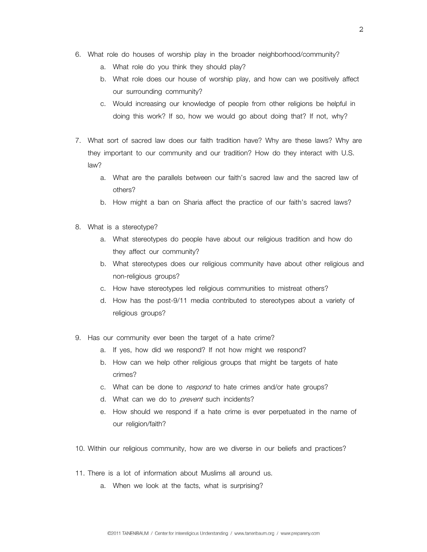- 6. What role do houses of worship play in the broader neighborhood/community?
	- a. What role do you think they should play?
	- b. What role does our house of worship play, and how can we positively affect our surrounding community?
	- c. Would increasing our knowledge of people from other religions be helpful in doing this work? If so, how we would go about doing that? If not, why?
- 7. What sort of sacred law does our faith tradition have? Why are these laws? Why are they important to our community and our tradition? How do they interact with U.S. law?
	- a. What are the parallels between our faith's sacred law and the sacred law of others?
	- b. How might a ban on Sharia affect the practice of our faith's sacred laws?
- 8. What is a stereotype?
	- a. What stereotypes do people have about our religious tradition and how do they affect our community?
	- b. What stereotypes does our religious community have about other religious and non-religious groups?
	- c. How have stereotypes led religious communities to mistreat others?
	- d. How has the post-9/11 media contributed to stereotypes about a variety of religious groups?
- 9. Has our community ever been the target of a hate crime?
	- a. If yes, how did we respond? If not how might we respond?
	- b. How can we help other religious groups that might be targets of hate crimes?
	- c. What can be done to respond to hate crimes and/or hate groups?
	- d. What can we do to *prevent* such incidents?
	- e. How should we respond if a hate crime is ever perpetuated in the name of our religion/faith?
- 10. Within our religious community, how are we diverse in our beliefs and practices?
- 11. There is a lot of information about Muslims all around us.
	- a. When we look at the facts, what is surprising?